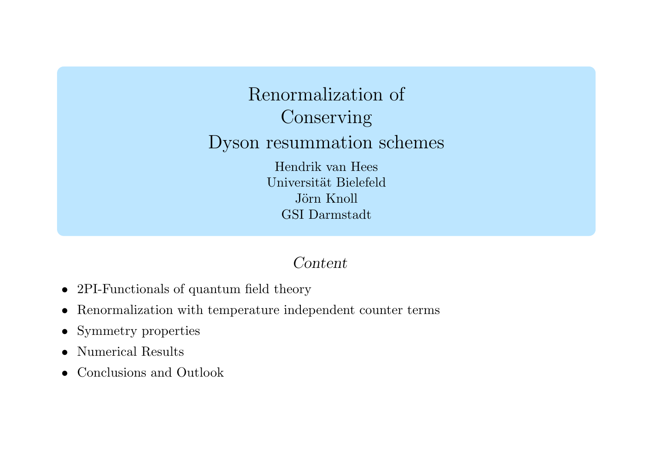Renormalization of Conserving Dyson resummation schemes Hendrik van Hees Universität Bielefeld Jörn Knoll GSI Darmstadt

### Content

- 2PI-Functionals of quantum field theory
- Renormalization with temperature independent counter terms
- $\bullet$ Symmetry properties
- •Numerical Results
- $\bullet$ • Conclusions and Outlook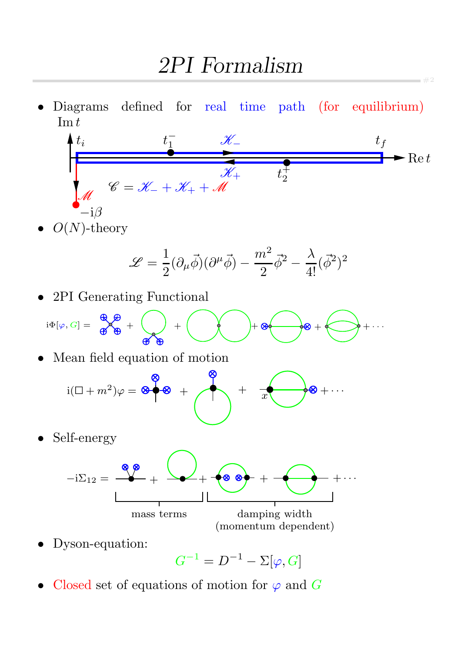• Diagrams defined for real time path (for equilibrium)  $\mathop{\mathrm{Im}} t$ 



#2

 $O(N)$ -theory

$$
\mathscr{L}=\frac{1}{2}(\partial_{\mu}\vec{\phi})(\partial^{\mu}\vec{\phi})-\frac{m^2}{2}\vec{\phi}^2-\frac{\lambda}{4!}(\vec{\phi}^2)^2
$$

• 2PI Generating Functional

$$
i\Phi[\varphi,G]=\begin{array}{c}\bigoplus\limits_{\mathfrak{S}}\bigoplus\limits_{\mathfrak{S}}\begin{array}{c}+\begin{array}{c}\\ \mathfrak{S}\end{array}\end{array}\begin{array}{c}\longrightarrow\\ \mathfrak{S}\end{array}\end{array}\begin{array}{c}\begin{array}{c}\longrightarrow\\ \mathfrak{S}\end{array}\end{array}\begin{array}{c}\begin{array}{c}\longrightarrow\\ \mathfrak{S}\end{array}\end{array}\begin{array}{c}\begin{array}{c}\longrightarrow\\ \mathfrak{S}\end{array}\end{array}\begin{array}{c}\begin{array}{c}\longrightarrow\\ \mathfrak{S}\end{array}\end{array}\begin{array}{c}\begin{array}{c}\longrightarrow\\ \mathfrak{S}\end{array}\end{array}\end{array}\begin{array}{c}\begin{array}{c}\longrightarrow\\ \mathfrak{S}\end{array}\end{array}
$$

Mean field equation of motion

+ x i( + m + + · · · 2 )ϕ =

• Self-energy



• Dyson-equation:

 $G^{-1} = D^{-1} - \Sigma[\varphi, G]$ 

• Closed set of equations of motion for  $\varphi$  and G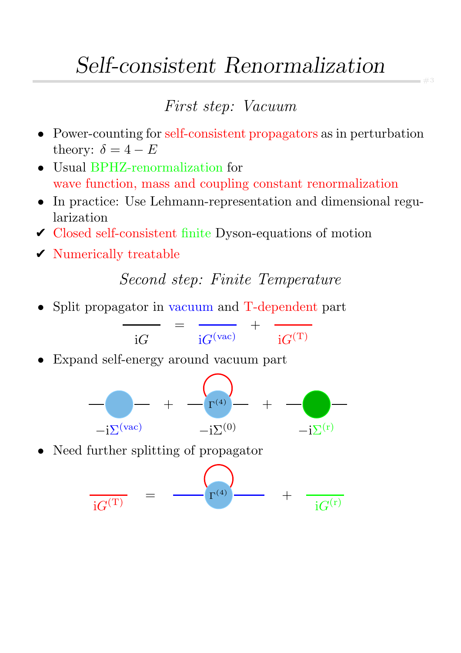# Self-consistent Renormalization

### First step: Vacuum

- Power-counting for self-consistent propagators as in perturbation theory:  $\delta = 4 - E$
- Usual BPHZ-renormalization for wave function, mass and coupling constant renormalization
- In practice: Use Lehmann-representation and dimensional regularization
- $\checkmark$  Closed self-consistent finite Dyson-equations of motion
- $\checkmark$  Numerically treatable

Second step: Finite Temperature

• Split propagator in vacuum and T-dependent part

$$
\frac{1}{\mathrm{i}G} = \frac{1}{\mathrm{i}G^{(\mathrm{vac})}} + \frac{1}{\mathrm{i}G^{(\mathrm{T})}}
$$

• Expand self-energy around vacuum part



• Need further splitting of propagator

$$
\frac{1}{\mathrm{i}G^{(\mathrm{T})}} = \frac{1}{\mathrm{Tr}^{(4)}} + \frac{1}{\mathrm{i}G^{(\mathrm{r})}}
$$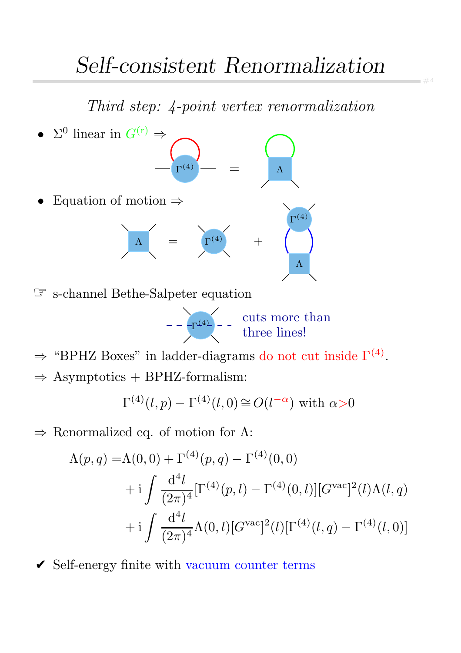#4

Third step: 4-point vertex renormalization



☞ s-channel Bethe-Salpeter equation

$$
---\boxed{\Gamma^{(4)}} \qquad \qquad \text{cuts more than} \\ \qquad \qquad \text{three lines!}
$$

 $\Rightarrow$  "BPHZ Boxes" in ladder-diagrams do not cut inside  $\Gamma^{(4)}$ .

 $\Rightarrow$  Asymptotics + BPHZ-formalism:

$$
\Gamma^{(4)}(l,p) - \Gamma^{(4)}(l,0) \cong O(l^{-\alpha}) \text{ with } \alpha > 0
$$

 $\Rightarrow$  Renormalized eq. of motion for  $\Lambda$ :

$$
\Lambda(p,q) = \Lambda(0,0) + \Gamma^{(4)}(p,q) - \Gamma^{(4)}(0,0) \n+ i \int \frac{d^4l}{(2\pi)^4} [\Gamma^{(4)}(p,l) - \Gamma^{(4)}(0,l)][G^{\text{vac}}]^2(l)\Lambda(l,q) \n+ i \int \frac{d^4l}{(2\pi)^4} \Lambda(0,l)[G^{\text{vac}}]^2(l)[\Gamma^{(4)}(l,q) - \Gamma^{(4)}(l,0)]
$$

 $\checkmark$  Self-energy finite with vacuum counter terms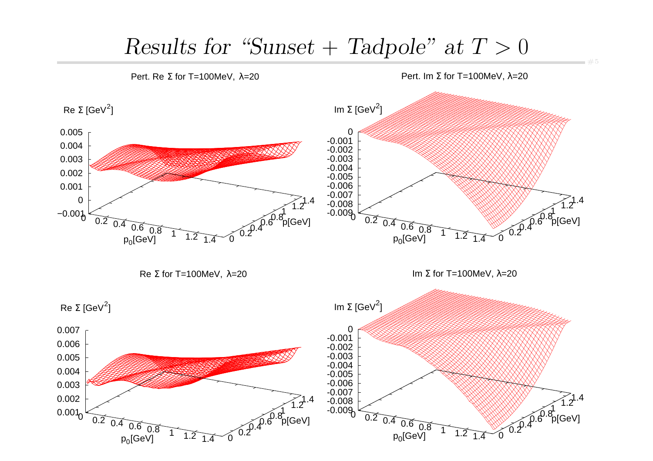## Results for "Sunset + Tadpole" at  $T > 0$

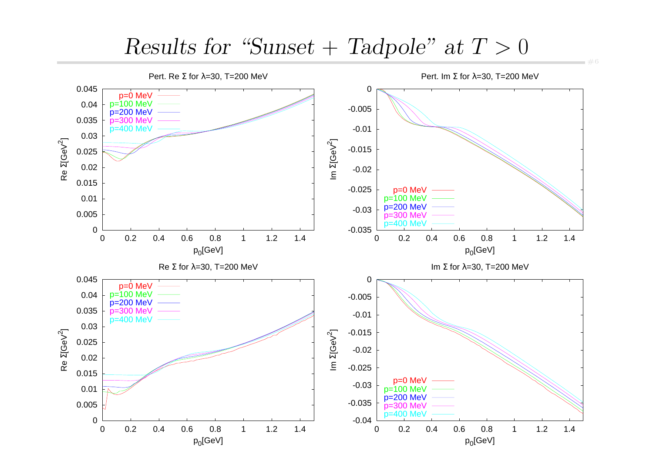## $Results for 'Sunset + Tadpole' at T > 0$



 $= 46$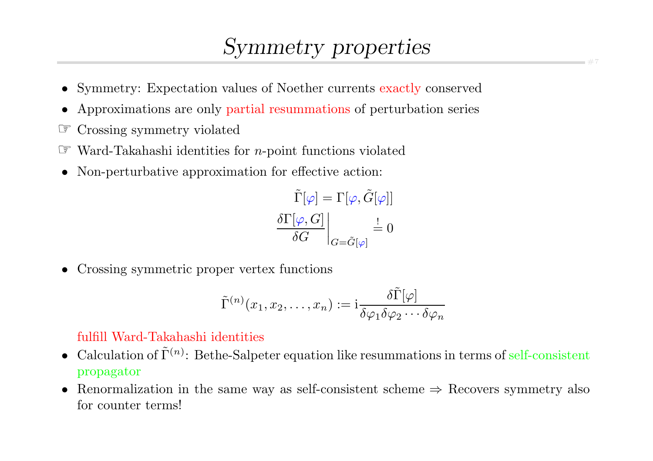# Symmetry properties

- Symmetry: Expectation values of Noether currents exactly conserved
- •Approximations are only partial resummations of perturbation series
- ☞Crossing symmetry violated
- $\mathbb{F}$  Ward-Takahashi identities for *n*-point functions violated
- Non-perturbative approximation for effective action:

$$
\left.\frac{\tilde{\Gamma}[\varphi]=\Gamma[\varphi,\tilde{G}[\varphi]]}{\delta G}\right|_{G=\tilde{G}[\varphi]}\stackrel{!}{=}0
$$

• Crossing symmetric proper vertex functions

$$
\tilde{\Gamma}^{(n)}(x_1, x_2, \dots, x_n) := i \frac{\delta \tilde{\Gamma}[\varphi]}{\delta \varphi_1 \delta \varphi_2 \cdots \delta \varphi_n}
$$

#### fulfill Ward-Takahashi identities

- Calculation of  $\tilde{\Gamma}^{(n)}$ : Bethe-Salpeter equation like resummations in terms of self-consistent propagator
- Renormalization in the same way as self-consistent scheme <sup>⇒</sup> Recovers symmetry also for counter terms!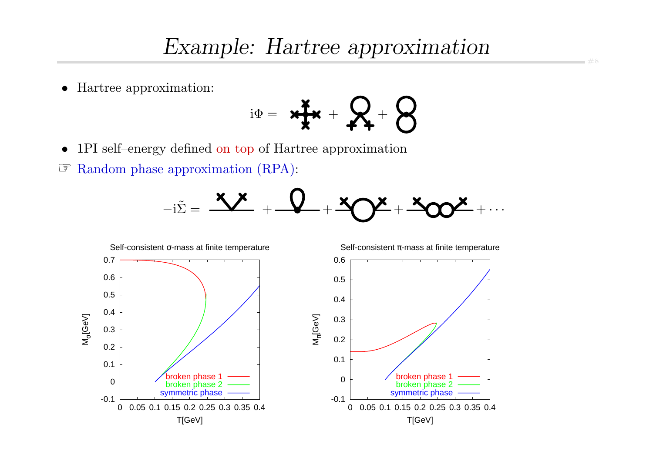$\bullet$ Hartree approximation:

$$
\mathrm{i}\Phi = \mathbf{H} + \mathbf{R} + \mathbf{S}
$$

•1PI self–energy defined on top of Hartree approximation

☞ Random <sup>p</sup>hase approximation (RPA):



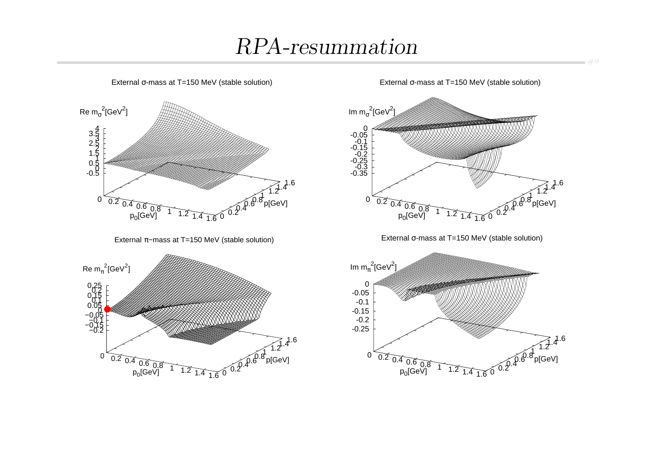# RPA-resummation





External σ-mass at T=150 MeV (stable solution)



 $-49$